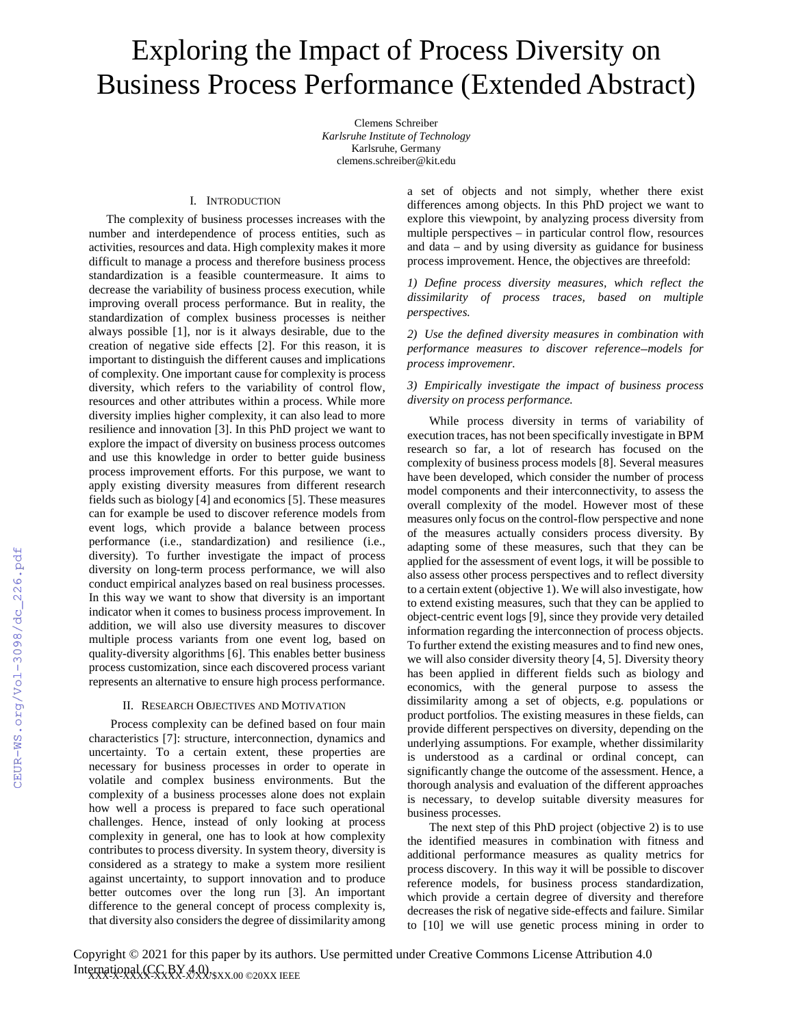# Exploring the Impact of Process Diversity on Business Process Performance (Extended Abstract)

Clemens Schreiber *Karlsruhe Institute of Technology*  Karlsruhe, Germany clemens.schreiber@kit.edu

### I. INTRODUCTION

The complexity of business processes increases with the number and interdependence of process entities, such as activities, resources and data. High complexity makes it more difficult to manage a process and therefore business process standardization is a feasible countermeasure. It aims to decrease the variability of business process execution, while improving overall process performance. But in reality, the standardization of complex business processes is neither always possible [1], nor is it always desirable, due to the creation of negative side effects [2]. For this reason, it is important to distinguish the different causes and implications of complexity. One important cause for complexity is process diversity, which refers to the variability of control flow, resources and other attributes within a process. While more diversity implies higher complexity, it can also lead to more resilience and innovation [3]. In this PhD project we want to explore the impact of diversity on business process outcomes and use this knowledge in order to better guide business process improvement efforts. For this purpose, we want to apply existing diversity measures from different research fields such as biology [4] and economics [5]. These measures can for example be used to discover reference models from event logs, which provide a balance between process performance (i.e., standardization) and resilience (i.e., diversity). To further investigate the impact of process diversity on long-term process performance, we will also conduct empirical analyzes based on real business processes. In this way we want to show that diversity is an important indicator when it comes to business process improvement. In addition, we will also use diversity measures to discover multiple process variants from one event log, based on quality-diversity algorithms [6]. This enables better business process customization, since each discovered process variant represents an alternative to ensure high process performance.

# II. RESEARCH OBJECTIVES AND MOTIVATION

Process complexity can be defined based on four main characteristics [7]: structure, interconnection, dynamics and uncertainty. To a certain extent, these properties are necessary for business processes in order to operate in volatile and complex business environments. But the complexity of a business processes alone does not explain how well a process is prepared to face such operational challenges. Hence, instead of only looking at process complexity in general, one has to look at how complexity contributes to process diversity. In system theory, diversity is considered as a strategy to make a system more resilient against uncertainty, to support innovation and to produce better outcomes over the long run [3]. An important difference to the general concept of process complexity is, that diversity also considers the degree of dissimilarity among

a set of objects and not simply, whether there exist differences among objects. In this PhD project we want to explore this viewpoint, by analyzing process diversity from multiple perspectives – in particular control flow, resources and data – and by using diversity as guidance for business process improvement. Hence, the objectives are threefold:

*1) Define process diversity measures, which reflect the dissimilarity of process traces, based on multiple perspectives.* 

*2) Use the defined diversity measures in combination with performance measures to discover reference models for process improvemenr.* 

# *3) Empirically investigate the impact of business process diversity on process performance.*

While process diversity in terms of variability of execution traces, has not been specifically investigate in BPM research so far, a lot of research has focused on the complexity of business process models [8]. Several measures have been developed, which consider the number of process model components and their interconnectivity, to assess the overall complexity of the model. However most of these measures only focus on the control-flow perspective and none of the measures actually considers process diversity. By adapting some of these measures, such that they can be applied for the assessment of event logs, it will be possible to also assess other process perspectives and to reflect diversity to a certain extent (objective 1). We will also investigate, how to extend existing measures, such that they can be applied to object-centric event logs [9], since they provide very detailed information regarding the interconnection of process objects. To further extend the existing measures and to find new ones, we will also consider diversity theory [4, 5]. Diversity theory has been applied in different fields such as biology and economics, with the general purpose to assess the dissimilarity among a set of objects, e.g. populations or product portfolios. The existing measures in these fields, can provide different perspectives on diversity, depending on the underlying assumptions. For example, whether dissimilarity is understood as a cardinal or ordinal concept, can significantly change the outcome of the assessment. Hence, a thorough analysis and evaluation of the different approaches is necessary, to develop suitable diversity measures for business processes.

The next step of this PhD project (objective 2) is to use the identified measures in combination with fitness and additional performance measures as quality metrics for process discovery. In this way it will be possible to discover reference models, for business process standardization, which provide a certain degree of diversity and therefore decreases the risk of negative side-effects and failure. Similar to [10] we will use genetic process mining in order to

International (CCCBY 4.0), XX.00 ©20XX IEEE Copyright © 2021 for this paper by its authors. Use permitted under Creative Commons License Attribution 4.0